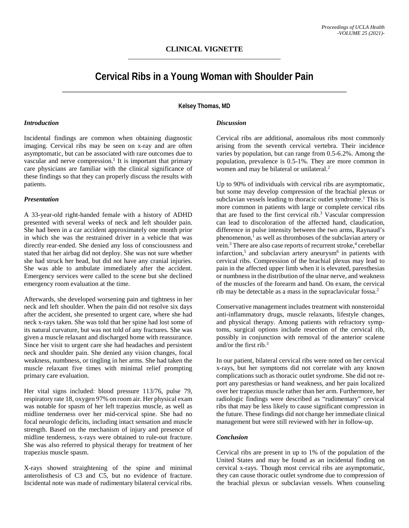# **Cervical Ribs in a Young Woman with Shoulder Pain**

**Kelsey Thomas, MD**

#### *Introduction*

Incidental findings are common when obtaining diagnostic imaging. Cervical ribs may be seen on x-ray and are often asymptomatic, but can be associated with rare outcomes due to vascular and nerve compression. <sup>1</sup> It is important that primary care physicians are familiar with the clinical significance of these findings so that they can properly discuss the results with patients.

#### *Presentation*

A 33-year-old right-handed female with a history of ADHD presented with several weeks of neck and left shoulder pain. She had been in a car accident approximately one month prior in which she was the restrained driver in a vehicle that was directly rear-ended. She denied any loss of consciousness and stated that her airbag did not deploy. She was not sure whether she had struck her head, but did not have any cranial injuries. She was able to ambulate immediately after the accident. Emergency services were called to the scene but she declined emergency room evaluation at the time.

Afterwards, she developed worsening pain and tightness in her neck and left shoulder. When the pain did not resolve six days after the accident, she presented to urgent care, where she had neck x-rays taken. She was told that her spine had lost some of its natural curvature, but was not told of any fractures. She was given a muscle relaxant and discharged home with reassurance. Since her visit to urgent care she had headaches and persistent neck and shoulder pain. She denied any vision changes, focal weakness, numbness, or tingling in her arms. She had taken the muscle relaxant five times with minimal relief prompting primary care evaluation.

Her vital signs included: blood pressure 113/76, pulse 79, respiratory rate 18, oxygen 97% on room air. Her physical exam was notable for spasm of her left trapezius muscle, as well as midline tenderness over her mid-cervical spine. She had no focal neurologic deficits, including intact sensation and muscle strength. Based on the mechanism of injury and presence of midline tenderness, x-rays were obtained to rule-out fracture. She was also referred to physical therapy for treatment of her trapezius muscle spasm.

X-rays showed straightening of the spine and minimal anterolisthesis of C3 and C5, but no evidence of fracture. Incidental note was made of rudimentary bilateral cervical ribs.

#### *Discussion*

Cervical ribs are additional, anomalous ribs most commonly arising from the seventh cervical vertebra. Their incidence varies by population, but can range from 0.5-6.2%. Among the population, prevalence is 0.5-1%. They are more common in women and may be bilateral or unilateral. 2

Up to 90% of individuals with cervical ribs are asymptomatic, but some may develop compression of the brachial plexus or subclavian vessels leading to thoracic outlet syndrome. <sup>1</sup> This is more common in patients with large or complete cervical ribs that are fused to the first cervical rib. <sup>3</sup> Vascular compression can lead to discoloration of the affected hand, claudication, difference in pulse intensity between the two arms, Raynaud's phenomenon, <sup>1</sup> as well as thromboses of the subclavian artery or vein.<sup>3</sup> There are also case reports of recurrent stroke,<sup>4</sup> cerebellar infarction,<sup>5</sup> and subclavian artery aneurysm<sup>6</sup> in patients with cervical ribs. Compression of the brachial plexus may lead to pain in the affected upper limb when it is elevated, paresthesias or numbness in the distribution of the ulnar nerve, and weakness of the muscles of the forearm and hand. On exam, the cervical rib may be detectable as a mass in the supraclavicular fossa. 2

Conservative management includes treatment with nonsteroidal anti-inflammatory drugs, muscle relaxants, lifestyle changes, and physical therapy. Among patients with refractory symptoms, surgical options include resection of the cervical rib, possibly in conjunction with removal of the anterior scalene and/or the first rib. 3

In our patient, bilateral cervical ribs were noted on her cervical x-rays, but her symptoms did not correlate with any known complications such as thoracic outlet syndrome. She did not report any paresthesias or hand weakness, and her pain localized over her trapezius muscle rather than her arm. Furthermore, her radiologic findings were described as "rudimentary" cervical ribs that may be less likely to cause significant compression in the future. These findings did not change her immediate clinical management but were still reviewed with her in follow-up.

### *Conclusion*

Cervical ribs are present in up to 1% of the population of the United States and may be found as an incidental finding on cervical x-rays. Though most cervical ribs are asymptomatic, they can cause thoracic outlet syndrome due to compression of the brachial plexus or subclavian vessels. When counseling